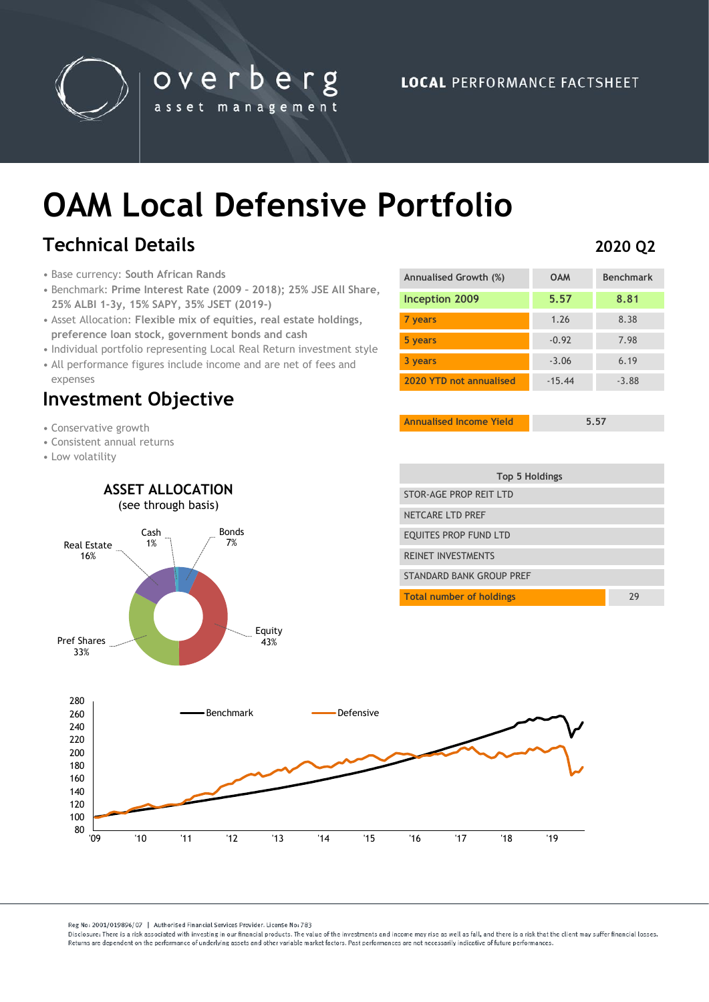

overberg asset management

# **OAM Local Defensive Portfolio**

## **Technical Details**

- Base currency: **South African Rands**
- Benchmark: **Prime Interest Rate (2009 – 2018); 25% JSE All Share, 25% ALBI 1-3y, 15% SAPY, 35% JSET (2019-)**
- Asset Allocation: **Flexible mix of equities, real estate holdings, preference loan stock, government bonds and cash**
- Individual portfolio representing Local Real Return investment style • All performance figures include income and are net of fees and

Bonds 7%

Equity<br>43%

expenses

### **Investment Objective**

Cash 1%

**ASSET ALLOCATION** (see through basis)

- Conservative growth
- Consistent annual returns
- Low volatility

Real Estate 16%

Pref Shares 33%

| Inception 2009          | 5.57     | 8.81    |
|-------------------------|----------|---------|
| 7 years                 | 1.26     | 8.38    |
| 5 years                 | $-0.92$  | 7.98    |
| 3 years                 | $-3.06$  | 6.19    |
| 2020 YTD not annualised | $-15.44$ | $-3.88$ |
|                         |          |         |

**Annualised Growth (%) OAM Benchmark**

**Annualised Income Yield 5.57**

**2020 Q2**

| Top 5 Holdings                  |    |
|---------------------------------|----|
| STOR-AGF PROP RFIT I TD         |    |
| NFTCARF I TD PRFF               |    |
| EQUITES PROP FUND LTD           |    |
| <b>REINET INVESTMENTS</b>       |    |
| STANDARD BANK GROUP PRFF        |    |
| <b>Total number of holdings</b> | 29 |



Reg No: 2001/019896/07 | Authorised Financial Services Provider, License No: 783

Disclosure: There is a risk associated with investing in our financial products. The value of the investments and income may rise as well as fall, and there is a risk that the client may suffer financial losses Beturns are dependent on the performance of underlying assets and other variable market factors. Past performances are not necessarily indicative of future performances.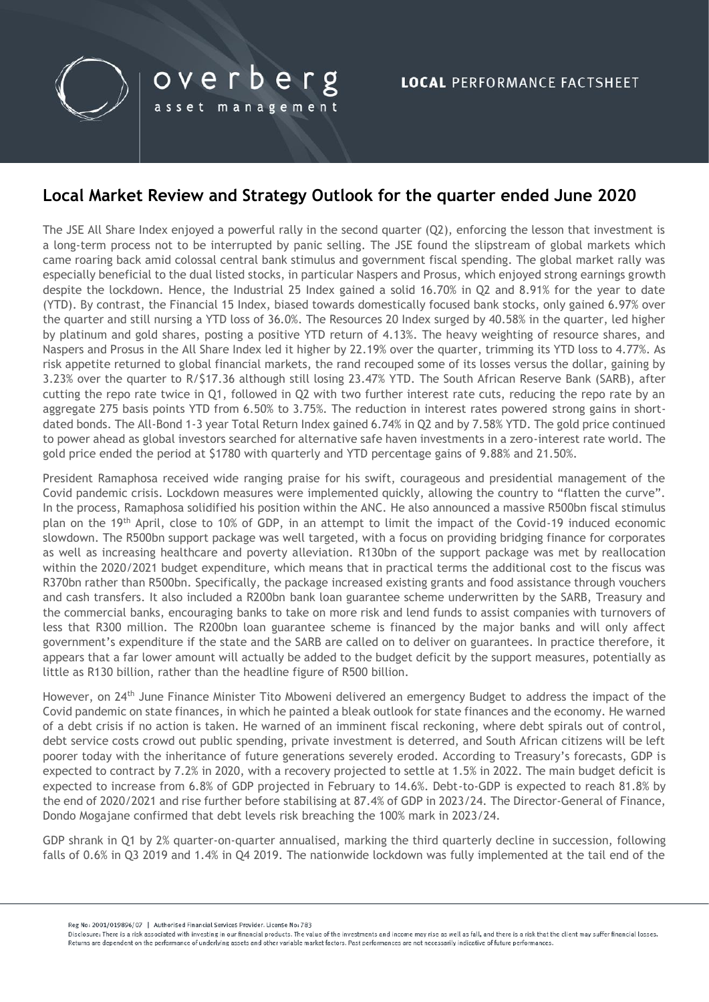

#### **Local Market Review and Strategy Outlook for the quarter ended June 2020**

The JSE All Share Index enjoyed a powerful rally in the second quarter (Q2), enforcing the lesson that investment is a long-term process not to be interrupted by panic selling. The JSE found the slipstream of global markets which came roaring back amid colossal central bank stimulus and government fiscal spending. The global market rally was especially beneficial to the dual listed stocks, in particular Naspers and Prosus, which enjoyed strong earnings growth despite the lockdown. Hence, the Industrial 25 Index gained a solid 16.70% in Q2 and 8.91% for the year to date (YTD). By contrast, the Financial 15 Index, biased towards domestically focused bank stocks, only gained 6.97% over the quarter and still nursing a YTD loss of 36.0%. The Resources 20 Index surged by 40.58% in the quarter, led higher by platinum and gold shares, posting a positive YTD return of 4.13%. The heavy weighting of resource shares, and Naspers and Prosus in the All Share Index led it higher by 22.19% over the quarter, trimming its YTD loss to 4.77%. As risk appetite returned to global financial markets, the rand recouped some of its losses versus the dollar, gaining by 3.23% over the quarter to R/\$17.36 although still losing 23.47% YTD. The South African Reserve Bank (SARB), after cutting the repo rate twice in Q1, followed in Q2 with two further interest rate cuts, reducing the repo rate by an aggregate 275 basis points YTD from 6.50% to 3.75%. The reduction in interest rates powered strong gains in shortdated bonds. The All-Bond 1-3 year Total Return Index gained 6.74% in Q2 and by 7.58% YTD. The gold price continued to power ahead as global investors searched for alternative safe haven investments in a zero-interest rate world. The gold price ended the period at \$1780 with quarterly and YTD percentage gains of 9.88% and 21.50%.

President Ramaphosa received wide ranging praise for his swift, courageous and presidential management of the Covid pandemic crisis. Lockdown measures were implemented quickly, allowing the country to "flatten the curve". In the process, Ramaphosa solidified his position within the ANC. He also announced a massive R500bn fiscal stimulus plan on the 19th April, close to 10% of GDP, in an attempt to limit the impact of the Covid-19 induced economic slowdown. The R500bn support package was well targeted, with a focus on providing bridging finance for corporates as well as increasing healthcare and poverty alleviation. R130bn of the support package was met by reallocation within the 2020/2021 budget expenditure, which means that in practical terms the additional cost to the fiscus was R370bn rather than R500bn. Specifically, the package increased existing grants and food assistance through vouchers and cash transfers. It also included a R200bn bank loan guarantee scheme underwritten by the SARB, Treasury and the commercial banks, encouraging banks to take on more risk and lend funds to assist companies with turnovers of less that R300 million. The R200bn loan guarantee scheme is financed by the major banks and will only affect government's expenditure if the state and the SARB are called on to deliver on guarantees. In practice therefore, it appears that a far lower amount will actually be added to the budget deficit by the support measures, potentially as little as R130 billion, rather than the headline figure of R500 billion.

However, on 24<sup>th</sup> June Finance Minister Tito Mboweni delivered an emergency Budget to address the impact of the Covid pandemic on state finances, in which he painted a bleak outlook for state finances and the economy. He warned of a debt crisis if no action is taken. He warned of an imminent fiscal reckoning, where debt spirals out of control, debt service costs crowd out public spending, private investment is deterred, and South African citizens will be left poorer today with the inheritance of future generations severely eroded. According to Treasury's forecasts, GDP is expected to contract by 7.2% in 2020, with a recovery projected to settle at 1.5% in 2022. The main budget deficit is expected to increase from 6.8% of GDP projected in February to 14.6%. Debt-to-GDP is expected to reach 81.8% by the end of 2020/2021 and rise further before stabilising at 87.4% of GDP in 2023/24. The Director-General of Finance, Dondo Mogajane confirmed that debt levels risk breaching the 100% mark in 2023/24.

GDP shrank in Q1 by 2% quarter-on-quarter annualised, marking the third quarterly decline in succession, following falls of 0.6% in Q3 2019 and 1.4% in Q4 2019. The nationwide lockdown was fully implemented at the tail end of the

Reg No: 2001/019896/07 | Authorised Financial Services Provider, License No: 783

Disclosure: There is a risk associated with investing in our financial products. The value of the investments and income may rise as well as fall, and there is a risk that the client may suffer financial losses Returns are dependent on the performance of underlying assets and other variable market factors. Past performances are not necessarily indicative of future performances.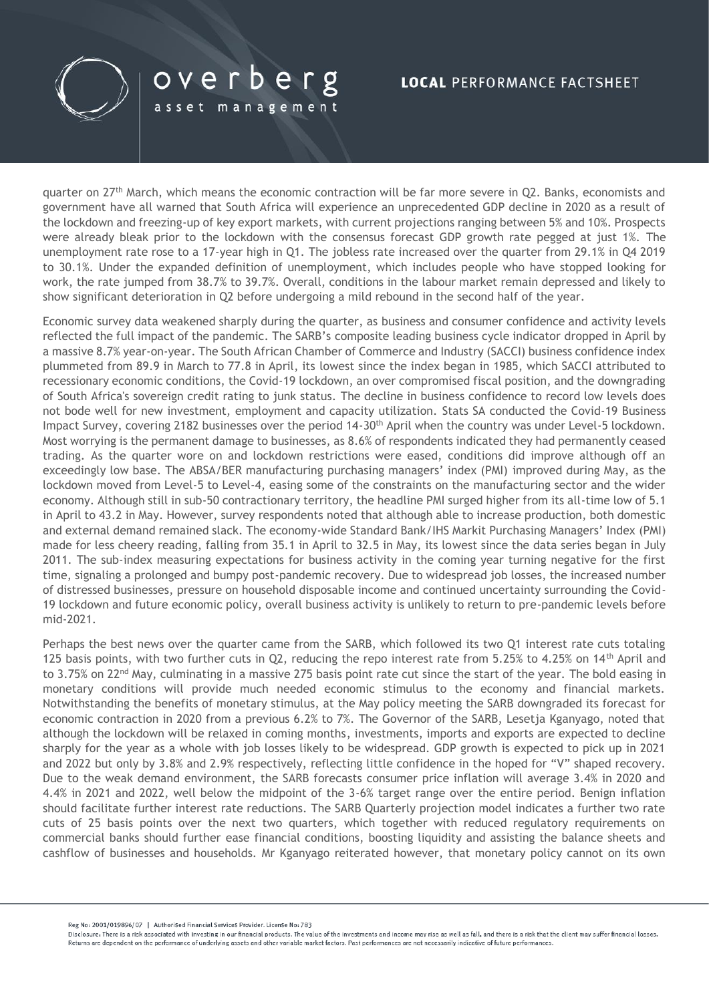

## overberg

asset management

#### **LOCAL PERFORMANCE FACTSHEET**

quarter on 27<sup>th</sup> March, which means the economic contraction will be far more severe in Q2. Banks, economists and government have all warned that South Africa will experience an unprecedented GDP decline in 2020 as a result of the lockdown and freezing-up of key export markets, with current projections ranging between 5% and 10%. Prospects were already bleak prior to the lockdown with the consensus forecast GDP growth rate pegged at just 1%. The unemployment rate rose to a 17-year high in Q1. The jobless rate increased over the quarter from 29.1% in Q4 2019 to 30.1%. Under the expanded definition of unemployment, which includes people who have stopped looking for work, the rate jumped from 38.7% to 39.7%. Overall, conditions in the labour market remain depressed and likely to show significant deterioration in Q2 before undergoing a mild rebound in the second half of the year.

Economic survey data weakened sharply during the quarter, as business and consumer confidence and activity levels reflected the full impact of the pandemic. The SARB's composite leading business cycle indicator dropped in April by a massive 8.7% year-on-year. The South African Chamber of Commerce and Industry (SACCI) business confidence index plummeted from 89.9 in March to 77.8 in April, its lowest since the index began in 1985, which SACCI attributed to recessionary economic conditions, the Covid-19 lockdown, an over compromised fiscal position, and the downgrading of South Africa's sovereign credit rating to junk status. The decline in business confidence to record low levels does not bode well for new investment, employment and capacity utilization. Stats SA conducted the Covid-19 Business Impact Survey, covering 2182 businesses over the period 14-30<sup>th</sup> April when the country was under Level-5 lockdown. Most worrying is the permanent damage to businesses, as 8.6% of respondents indicated they had permanently ceased trading. As the quarter wore on and lockdown restrictions were eased, conditions did improve although off an exceedingly low base. The ABSA/BER manufacturing purchasing managers' index (PMI) improved during May, as the lockdown moved from Level-5 to Level-4, easing some of the constraints on the manufacturing sector and the wider economy. Although still in sub-50 contractionary territory, the headline PMI surged higher from its all-time low of 5.1 in April to 43.2 in May. However, survey respondents noted that although able to increase production, both domestic and external demand remained slack. The economy-wide Standard Bank/IHS Markit Purchasing Managers' Index (PMI) made for less cheery reading, falling from 35.1 in April to 32.5 in May, its lowest since the data series began in July 2011. The sub-index measuring expectations for business activity in the coming year turning negative for the first time, signaling a prolonged and bumpy post-pandemic recovery. Due to widespread job losses, the increased number of distressed businesses, pressure on household disposable income and continued uncertainty surrounding the Covid-19 lockdown and future economic policy, overall business activity is unlikely to return to pre-pandemic levels before mid-2021.

Perhaps the best news over the quarter came from the SARB, which followed its two Q1 interest rate cuts totaling 125 basis points, with two further cuts in Q2, reducing the repo interest rate from 5.25% to 4.25% on 14<sup>th</sup> April and to 3.75% on 22<sup>nd</sup> May, culminating in a massive 275 basis point rate cut since the start of the year. The bold easing in monetary conditions will provide much needed economic stimulus to the economy and financial markets. Notwithstanding the benefits of monetary stimulus, at the May policy meeting the SARB downgraded its forecast for economic contraction in 2020 from a previous 6.2% to 7%. The Governor of the SARB, Lesetja Kganyago, noted that although the lockdown will be relaxed in coming months, investments, imports and exports are expected to decline sharply for the year as a whole with job losses likely to be widespread. GDP growth is expected to pick up in 2021 and 2022 but only by 3.8% and 2.9% respectively, reflecting little confidence in the hoped for "V" shaped recovery. Due to the weak demand environment, the SARB forecasts consumer price inflation will average 3.4% in 2020 and 4.4% in 2021 and 2022, well below the midpoint of the 3-6% target range over the entire period. Benign inflation should facilitate further interest rate reductions. The SARB Quarterly projection model indicates a further two rate cuts of 25 basis points over the next two quarters, which together with reduced regulatory requirements on commercial banks should further ease financial conditions, boosting liquidity and assisting the balance sheets and cashflow of businesses and households. Mr Kganyago reiterated however, that monetary policy cannot on its own

Reg No: 2001/019896/07 | Authorised Financial Services Provider License No: 783

Disclosure: There is a risk associated with investing in our financial products. The value of the investments and income may rise as well as fall, and there is a risk that the client may suffer financial losses Returns are dependent on the performance of underlying assets and other variable market factors. Past performances are not necessarily indicative of future performances.